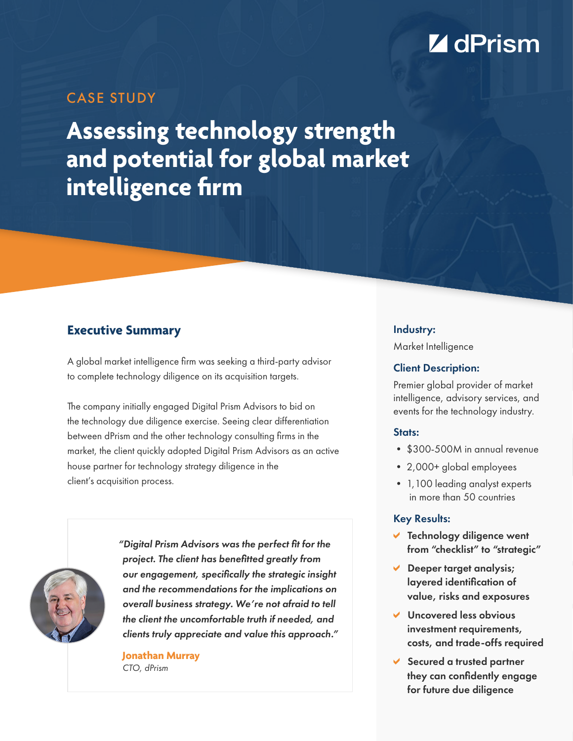# Z dPrism

## CASE STUDY

**Assessing technology strength and potential for global market intelligence firm**

#### **Executive Summary**

A global market intelligence firm was seeking a third-party advisor to complete technology diligence on its acquisition targets.

The company initially engaged Digital Prism Advisors to bid on the technology due diligence exercise. Seeing clear differentiation between dPrism and the other technology consulting firms in the market, the client quickly adopted Digital Prism Advisors as an active house partner for technology strategy diligence in the client's acquisition process.



*"Digital Prism Advisors was the perfect fit for the project. The client has benefitted greatly from our engagement, specifically the strategic insight and the recommendations for the implications on overall business strategy. We're not afraid to tell the client the uncomfortable truth if needed, and clients truly appreciate and value this approach."*

**Jonathan Murray** *CTO, dPrism*

#### Industry:

Market Intelligence

#### Client Description:

Premier global provider of market intelligence, advisory services, and events for the technology industry.

#### Stats:

- \$300-500M in annual revenue
- 2,000+ global employees
- 1,100 leading analyst experts in more than 50 countries

#### Key Results:

- $\vee$  Technology diligence went from "checklist" to "strategic"
- Deeper target analysis; layered identification of value, risks and exposures
- $\vee$  Uncovered less obvious investment requirements, costs, and trade-offs required
- $\vee$  Secured a trusted partner they can confidently engage for future due diligence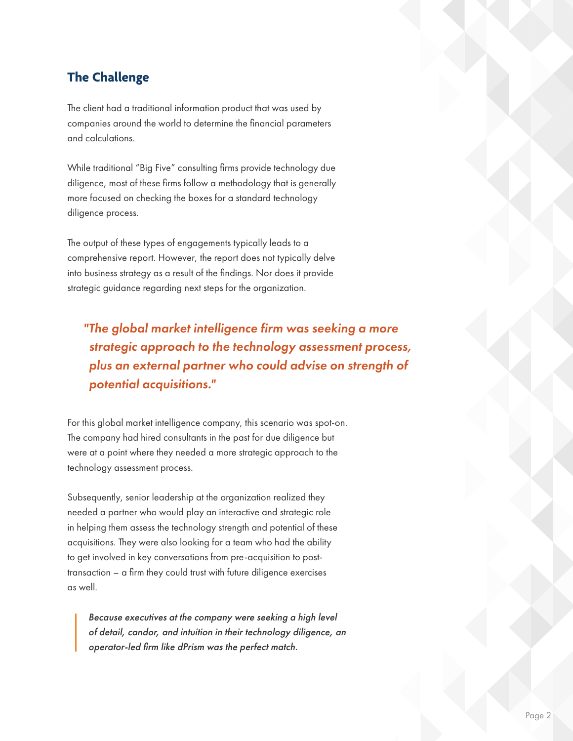## **The Challenge**

The client had a traditional information product that was used by companies around the world to determine the financial parameters and calculations.

While traditional "Big Five" consulting firms provide technology due diligence, most of these firms follow a methodology that is generally more focused on checking the boxes for a standard technology diligence process.

The output of these types of engagements typically leads to a comprehensive report. However, the report does not typically delve into business strategy as a result of the findings. Nor does it provide strategic guidance regarding next steps for the organization.

*"The global market intelligence firm was seeking a more strategic approach to the technology assessment process, plus an external partner who could advise on strength of potential acquisitions."*

For this global market intelligence company, this scenario was spot-on. The company had hired consultants in the past for due diligence but were at a point where they needed a more strategic approach to the technology assessment process.

Subsequently, senior leadership at the organization realized they needed a partner who would play an interactive and strategic role in helping them assess the technology strength and potential of these acquisitions. They were also looking for a team who had the ability to get involved in key conversations from pre-acquisition to posttransaction – a firm they could trust with future diligence exercises as well.

Because executives at the company were seeking a high level of detail, candor, and intuition in their technology diligence, an operator-led firm like dPrism was the perfect match.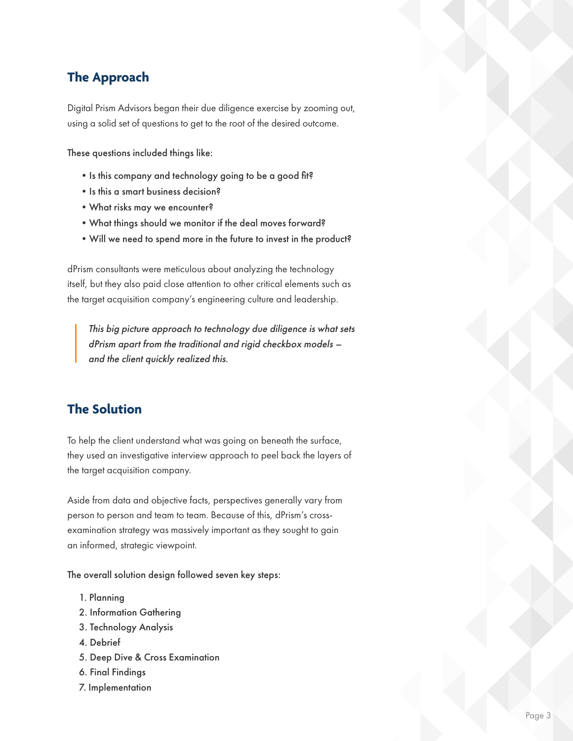## **The Approach**

Digital Prism Advisors began their due diligence exercise by zooming out, using a solid set of questions to get to the root of the desired outcome.

These questions included things like:

- •Is this company and technology going to be a good fit?
- Is this a smart business decision?
- •What risks may we encounter?
- •What things should we monitor if the deal moves forward?
- •Will we need to spend more in the future to invest in the product?

dPrism consultants were meticulous about analyzing the technology itself, but they also paid close attention to other critical elements such as the target acquisition company's engineering culture and leadership.

This big picture approach to technology due diligence is what sets dPrism apart from the traditional and rigid checkbox models – and the client quickly realized this.

## **The Solution**

To help the client understand what was going on beneath the surface, they used an investigative interview approach to peel back the layers of the target acquisition company.

Aside from data and objective facts, perspectives generally vary from person to person and team to team. Because of this, dPrism's crossexamination strategy was massively important as they sought to gain an informed, strategic viewpoint.

The overall solution design followed seven key steps:

- 1. Planning
- 2. Information Gathering
- 3. Technology Analysis
- 4. Debrief
- 5. Deep Dive & Cross Examination
- 6. Final Findings
- 7. Implementation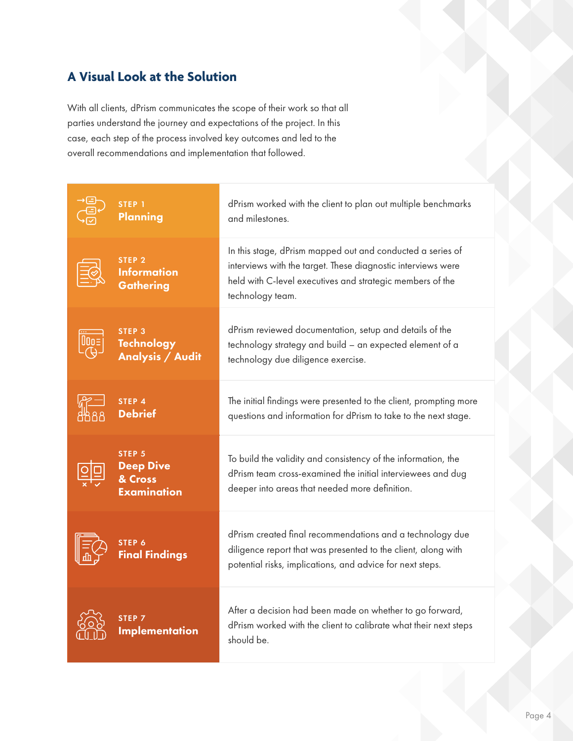## **A Visual Look at the Solution**

With all clients, dPrism communicates the scope of their work so that all parties understand the journey and expectations of the project. In this case, each step of the process involved key outcomes and led to the overall recommendations and implementation that followed.

| STEP <sub>1</sub><br><b>Planning</b>                                   | dPrism worked with the client to plan out multiple benchmarks<br>and milestones.                                                                                                                            |
|------------------------------------------------------------------------|-------------------------------------------------------------------------------------------------------------------------------------------------------------------------------------------------------------|
| STEP <sub>2</sub><br><b>Information</b><br>Gathering                   | In this stage, dPrism mapped out and conducted a series of<br>interviews with the target. These diagnostic interviews were<br>held with C-level executives and strategic members of the<br>technology team. |
| STEP <sub>3</sub><br><b>Technology</b><br><b>Analysis / Audit</b>      | dPrism reviewed documentation, setup and details of the<br>technology strategy and build - an expected element of a<br>technology due diligence exercise.                                                   |
| STEP 4<br><b>Debrief</b>                                               | The initial findings were presented to the client, prompting more<br>questions and information for dPrism to take to the next stage.                                                                        |
| STEP <sub>5</sub><br><b>Deep Dive</b><br>& Cross<br><b>Examination</b> | To build the validity and consistency of the information, the<br>dPrism team cross-examined the initial interviewees and dug<br>deeper into areas that needed more definition.                              |
| STEP 6<br><b>Final Findings</b>                                        | dPrism created final recommendations and a technology due<br>diligence report that was presented to the client, along with<br>potential risks, implications, and advice for next steps.                     |
| STEP <sub>7</sub><br><b>Implementation</b>                             | After a decision had been made on whether to go forward,<br>dPrism worked with the client to calibrate what their next steps<br>should be.                                                                  |